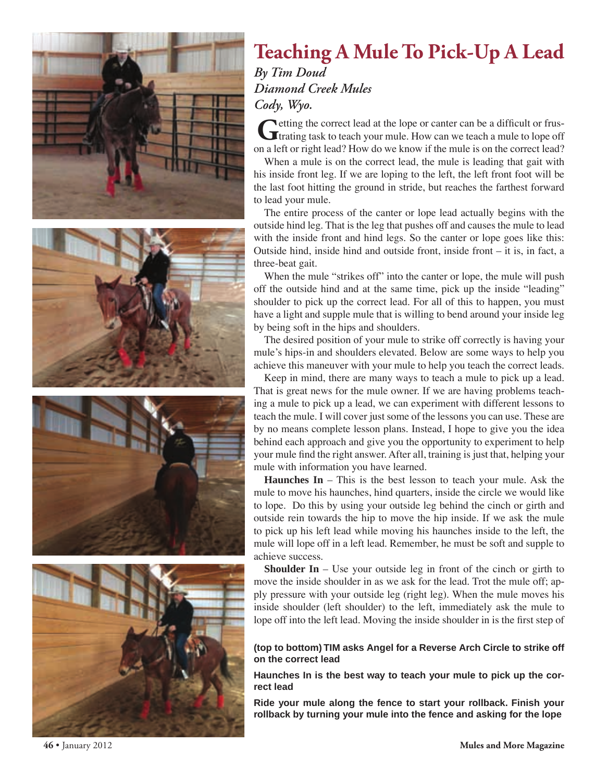

## **Teaching A Mule To Pick-Up A Lead**

*By Tim Doud Diamond Creek Mules Cody, Wyo.*

**G**etting the correct lead at the lope or canter can be a difficult or frus-<br>trating task to teach your mule. How can we teach a mule to lope off on a left or right lead? How do we know if the mule is on the correct lead?

When a mule is on the correct lead, the mule is leading that gait with his inside front leg. If we are loping to the left, the left front foot will be the last foot hitting the ground in stride, but reaches the farthest forward to lead your mule.

The entire process of the canter or lope lead actually begins with the outside hind leg. That is the leg that pushes off and causes the mule to lead with the inside front and hind legs. So the canter or lope goes like this: Outside hind, inside hind and outside front, inside front – it is, in fact, a three-beat gait.

When the mule "strikes off" into the canter or lope, the mule will push off the outside hind and at the same time, pick up the inside "leading" shoulder to pick up the correct lead. For all of this to happen, you must have a light and supple mule that is willing to bend around your inside leg by being soft in the hips and shoulders.

The desired position of your mule to strike off correctly is having your mule's hips-in and shoulders elevated. Below are some ways to help you achieve this maneuver with your mule to help you teach the correct leads.

Keep in mind, there are many ways to teach a mule to pick up a lead. That is great news for the mule owner. If we are having problems teaching a mule to pick up a lead, we can experiment with different lessons to teach the mule. I will cover just some of the lessons you can use. These are by no means complete lesson plans. Instead, I hope to give you the idea behind each approach and give you the opportunity to experiment to help your mule find the right answer. After all, training is just that, helping your mule with information you have learned.

**Haunches In** – This is the best lesson to teach your mule. Ask the mule to move his haunches, hind quarters, inside the circle we would like to lope. Do this by using your outside leg behind the cinch or girth and outside rein towards the hip to move the hip inside. If we ask the mule to pick up his left lead while moving his haunches inside to the left, the mule will lope off in a left lead. Remember, he must be soft and supple to achieve success.

**Shoulder In** – Use your outside leg in front of the cinch or girth to move the inside shoulder in as we ask for the lead. Trot the mule off; apply pressure with your outside leg (right leg). When the mule moves his inside shoulder (left shoulder) to the left, immediately ask the mule to lope off into the left lead. Moving the inside shoulder in is the first step of

## **(top to bottom) TIM asks Angel for a Reverse Arch Circle to strike off on the correct lead**

**Haunches In is the best way to teach your mule to pick up the correct lead**

**Ride your mule along the fence to start your rollback. Finish your rollback by turning your mule into the fence and asking for the lope**